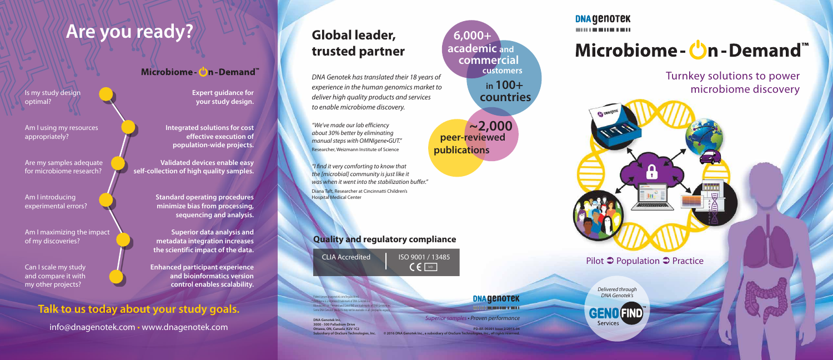*DNA Genotek has translated their 18 years of experience in the human genomics market to deliver high quality products and services to enable microbiome discovery.*

*"We've made our lab efficiency about 30% better by eliminating manual steps with OMNIgene•GUT."* Researcher, Weizmann Institute of Science

*"I find it very comforting to know that the [microbial] community is just like it was when it went into the stabilization buffer."*

Diana Taft, Researcher at Cincinnatti Children's Hospital Medical Center

**DNA Genotek Inc. 3000 - 500 Palladium Drive Ottawa, ON, Canada K2V 1C2 Subsidiary of OraSure Technologies, Inc.**



**DNA GENOTEK** -----------

# Microbiome-**U**n-Demand™

### **Global leader, trusted partner**

Is my study design

optimal?

#### Microbiome - Con-Demand

Am I using my resources

appropriately?

Are my samples adequate for microbiome research?

Am I introducing

experimental errors?

Am I maximizing the impact

of my discoveries?

Can I scale my study and compare it with

my other projects?

**Expert guidance for your study design.**

**Integrated solutions for cost effective execution of population-wide projects.**

**Validated devices enable easy self-collection of high quality samples.**

> **Standard operating procedures minimize bias from processing, sequencing and analysis.**

**Superior data analysis and metadata integration increases the scientific impact of the data.**

**Enhanced participant experience and bioinformatics version control enables scalability.**

#### **Quality and regulatory compliance**

## **Are you ready?**

Turnkey solutions to power microbiome discovery

Pilot  $\supset$  Population  $\supset$  Practice

### **Talk to us today about your study goals.**

info@dnagenotek.com • www.dnagenotek.com

Patent (www.dnagenotek.com/legalnotices) ® OMNIgene is a registered trademark of DNA Genotek Inc. Microbiome-on-Demand and GenoFIND are trademarks of DNA Genotek Inc. Some DNA Genotek products may not be available in all geographic regions.

*Delivered through DNA Genotek's*

**GENO FIND Services**